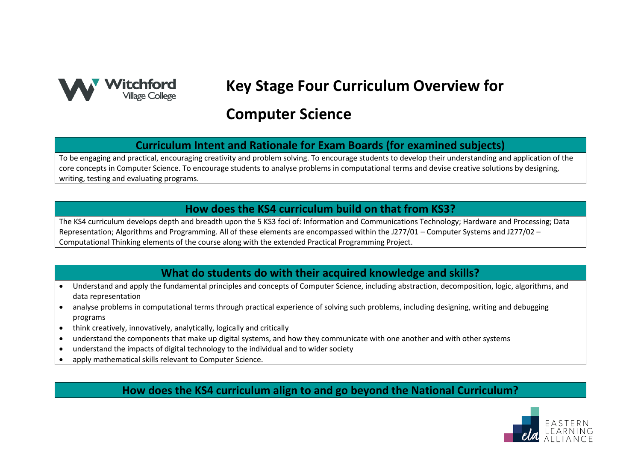

# **Key Stage Four Curriculum Overview for**

## **Computer Science**

#### **Curriculum Intent and Rationale for Exam Boards (for examined subjects)**

To be engaging and practical, encouraging creativity and problem solving. To encourage students to develop their understanding and application of the core concepts in Computer Science. To encourage students to analyse problems in computational terms and devise creative solutions by designing, writing, testing and evaluating programs.

#### **How does the KS4 curriculum build on that from KS3?**

The KS4 curriculum develops depth and breadth upon the 5 KS3 foci of: Information and Communications Technology; Hardware and Processing; Data Representation; Algorithms and Programming. All of these elements are encompassed within the J277/01 – Computer Systems and J277/02 – Computational Thinking elements of the course along with the extended Practical Programming Project.

#### **What do students do with their acquired knowledge and skills?**

- Understand and apply the fundamental principles and concepts of Computer Science, including abstraction, decomposition, logic, algorithms, and data representation
- analyse problems in computational terms through practical experience of solving such problems, including designing, writing and debugging programs
- think creatively, innovatively, analytically, logically and critically
- understand the components that make up digital systems, and how they communicate with one another and with other systems
- understand the impacts of digital technology to the individual and to wider society
- apply mathematical skills relevant to Computer Science.

**How does the KS4 curriculum align to and go beyond the National Curriculum?**

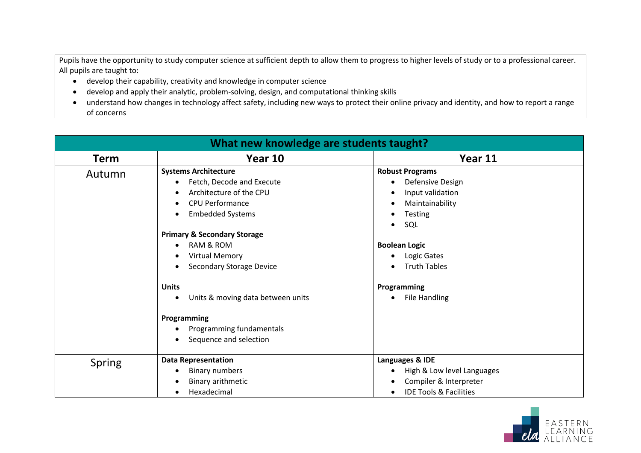Pupils have the opportunity to study computer science at sufficient depth to allow them to progress to higher levels of study or to a professional career. All pupils are taught to:

- develop their capability, creativity and knowledge in computer science
- develop and apply their analytic, problem-solving, design, and computational thinking skills
- understand how changes in technology affect safety, including new ways to protect their online privacy and identity, and how to report a range of concerns

| What new knowledge are students taught? |                                                                                                                                                                                                                                                                                                                                                                                 |                                                                                                                                                                                                                                                                                                                  |  |
|-----------------------------------------|---------------------------------------------------------------------------------------------------------------------------------------------------------------------------------------------------------------------------------------------------------------------------------------------------------------------------------------------------------------------------------|------------------------------------------------------------------------------------------------------------------------------------------------------------------------------------------------------------------------------------------------------------------------------------------------------------------|--|
| <b>Term</b>                             | Year 10                                                                                                                                                                                                                                                                                                                                                                         | Year 11                                                                                                                                                                                                                                                                                                          |  |
| Autumn                                  | <b>Systems Architecture</b><br>Fetch, Decode and Execute<br>$\bullet$<br>Architecture of the CPU<br>$\bullet$<br><b>CPU Performance</b><br>$\bullet$<br><b>Embedded Systems</b><br>$\bullet$<br><b>Primary &amp; Secondary Storage</b><br><b>RAM &amp; ROM</b><br><b>Virtual Memory</b><br><b>Secondary Storage Device</b><br><b>Units</b><br>Units & moving data between units | <b>Robust Programs</b><br>Defensive Design<br>$\bullet$<br>Input validation<br>$\bullet$<br>Maintainability<br>$\bullet$<br><b>Testing</b><br>$\bullet$<br>SQL<br>$\bullet$<br><b>Boolean Logic</b><br>Logic Gates<br>$\bullet$<br><b>Truth Tables</b><br>$\bullet$<br>Programming<br>File Handling<br>$\bullet$ |  |
|                                         | Programming<br>Programming fundamentals<br>Sequence and selection                                                                                                                                                                                                                                                                                                               |                                                                                                                                                                                                                                                                                                                  |  |
| Spring                                  | <b>Data Representation</b><br><b>Binary numbers</b><br>Binary arithmetic<br>Hexadecimal                                                                                                                                                                                                                                                                                         | Languages & IDE<br>High & Low level Languages<br>$\bullet$<br>Compiler & Interpreter<br><b>IDE Tools &amp; Facilities</b>                                                                                                                                                                                        |  |

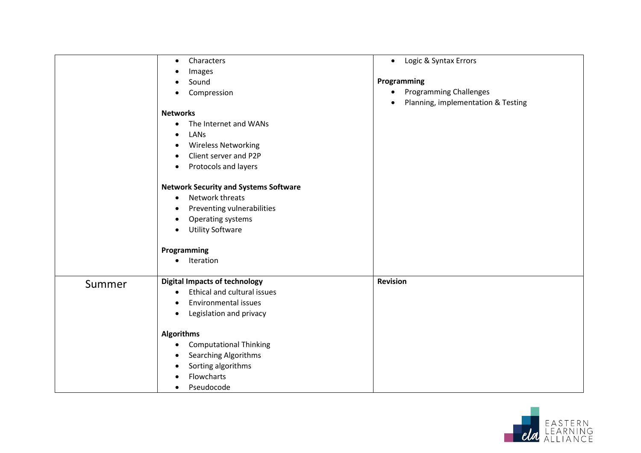|        | Characters<br>$\bullet$<br>Images<br>Sound<br>$\bullet$<br>Compression<br><b>Networks</b><br>The Internet and WANs<br>$\bullet$<br>LANS<br>$\bullet$<br><b>Wireless Networking</b><br>$\bullet$<br>Client server and P2P<br>$\bullet$<br>Protocols and layers<br>$\bullet$<br><b>Network Security and Systems Software</b><br>Network threats<br>$\bullet$<br>Preventing vulnerabilities<br>$\bullet$<br>Operating systems<br>$\bullet$<br><b>Utility Software</b><br>$\bullet$<br>Programming<br>Iteration<br>$\bullet$ | Logic & Syntax Errors<br>$\bullet$<br>Programming<br><b>Programming Challenges</b><br>$\bullet$<br>Planning, implementation & Testing |
|--------|--------------------------------------------------------------------------------------------------------------------------------------------------------------------------------------------------------------------------------------------------------------------------------------------------------------------------------------------------------------------------------------------------------------------------------------------------------------------------------------------------------------------------|---------------------------------------------------------------------------------------------------------------------------------------|
| Summer | <b>Digital Impacts of technology</b><br>Ethical and cultural issues<br>$\bullet$<br><b>Environmental issues</b><br>$\bullet$<br>Legislation and privacy<br>$\bullet$<br><b>Algorithms</b><br><b>Computational Thinking</b><br>$\bullet$<br><b>Searching Algorithms</b><br>$\bullet$<br>Sorting algorithms<br>$\bullet$<br>Flowcharts<br>$\bullet$<br>Pseudocode<br>$\bullet$                                                                                                                                             | <b>Revision</b>                                                                                                                       |